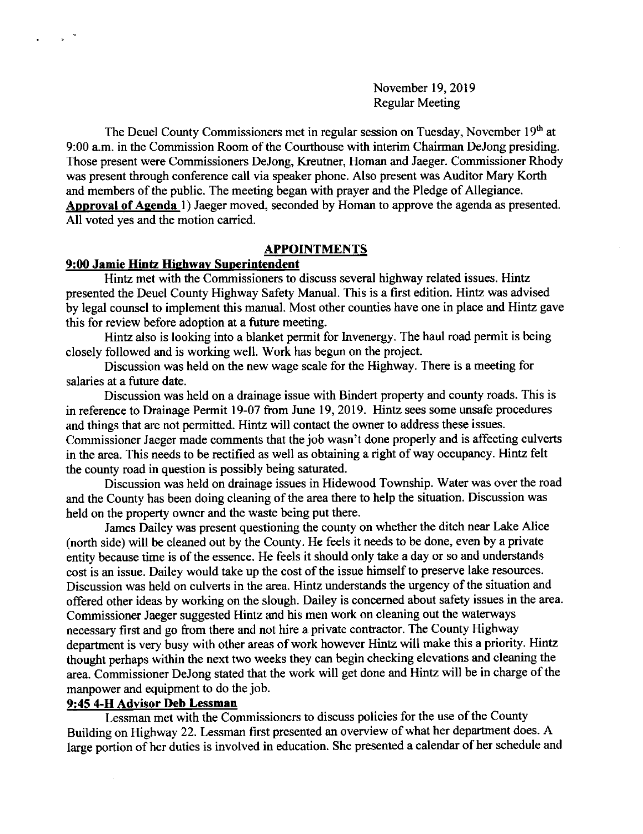November 19,2019 Regular Meeting

The Deuel County Commissioners met in regular session on Tuesday, November 19<sup>th</sup> at 9:00 a.m. in the Commission Room of the Courthouse with interim Chairman DeJong presiding. Those present were Commissioners DeJong, Kreutner, Homan and Jaeger. Commissioner Rhody was present through conference call via speaker phone. Also present was Auditor Mary Korth and members of the public. The meeting began with prayer and the Pledge of Allegiance. Approval of Agenda 1) Jaeger moved, seconded by Homan to approve the agenda as presented. All voted yes and the motion carried.

#### APPOINTMENTS

## 9:00 Janie Hintz Hiehwav Suoerintendent

 $\epsilon_{\rm{max}}=10^{-6}$ 

Hintz met with the Commissioners to discuss several highway related issues. Hintz presented the Deuel County Highway Safety Manual. This is a first edition. Hintz was advised by legal counsel to implement this manual. Most other counties have one in place and Hintz gave this for review before adoption at a future meeting.

Hintz also is looking into a blanket permit for lnvenergy. The haul road permit is being closely followed and is working well. Work has begun on the project.

Discussion was held on the new wage scale for the Highway. There is a meeting for salaries at a future date.

Discussion was held on a drainage issue with Bindert property and county roads. This is in reference to Drainage Permit 19-07 from June 19,2019. Hintz sees some unsafe procedures and things that are not permitted. Hintz will contact the owner to address these issues. Commissioner Jaeger made comments that the job wasn't done properly and is affecting culverts in the area. This needs to be rectified as well as obtaining a right of way occupancy. Hintz felt the county road in question is possibly being satuated.

Discussion was held on drainage issues in Hidewood Township. Water was over the road and the County has been doing cleaning of the area there to help the situation. Discussion was held on the property owner and the waste being put there.

James Dailey was present questioning the county on whether the ditch near Lake Alice (north side) will be cleaned out by the County. He feels it needs to be done, even by a private entity because time is of the essence. He feels it should only take a day or so and understands cost is an issue. Dailey would take up the cost of the issue himself to preserve lake resources. Discussion was held on culverts in the area. Hintz understands the urgency of the situation and offered other ideas by working on the slough. Dailey is concemed about safety issues in the area. Commissioner Jaeger suggested Hinz and his men work on cleaning out the waterways necessary first and go from there and not hire a private contractor. The County Highway department is very busy with other areas of work however Hintz will make this a priority. Hintz thought perhaps within the next two weeks they can begin checking elevations and cleaning the area. Commissioner DeJong stated that the work will get done and Hintz will be in charge of the manpower and equipment to do the job.

# 9:45 4-H Advisor Deb Lessman

Lessman met with the Commissioners to discuss policies for the use of the County Building on Highway 22. Lessman first presented an overview of what her department does. A large portion of her duties is involved in education. She presented a calendar of her schedule and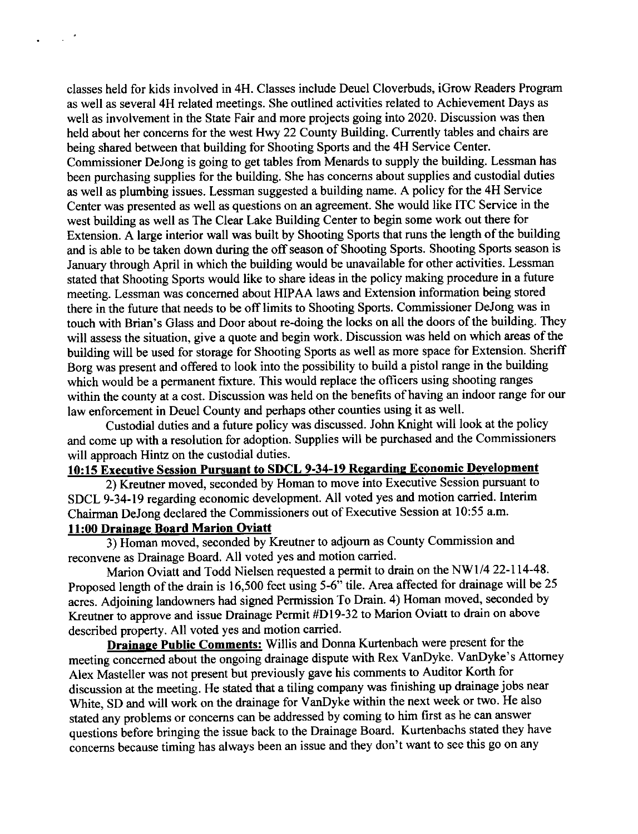classes held for kids involved in 4H. Classes include Deuel Cloverbuds, iGrow Readers Program as well as several 4H related meetings. She outlined activities related to Achievement Days as well as involvement in the State Fair and more projects going into 2020. Discussion was then held about her concems for the west Hwy 22 County Building. Currently tables and chairs are being shared between that building for Shooting Sports and the 4H Service Center. Commissioner DeJong is going to get tables from Menards to supply the building. Lessman has been purchasing supplies for the building. She has concems about supplies and custodial duties as well as plumbing issues. Lessman suggested a building name. A policy for the 4H Service Center was presented as well as questions on an agreement. She would like ITC Service in the west building as well as The Clear Lake Building Center to begin some work out there for Extension. A large interior wall was built by Shooting Sports that runs the length of the building and is able to be taken down during the off season of Shooting Sports. Shooting Sports season is January through April in which the building would be unavailable for other activities. Lessman stated that Shooting Sports would like to share ideas in the policy making procedure in a future meeting. Lessman was concemed about HIPAA laws and Extension information being stored there in the future that needs to be off limits to Shooting Sports. Commissioner DeJong was in touch with Brian's Glass and Door about re-doing the locks on all the doors of the building. They will assess the situation, give a quote and begin work. Discussion was held on which areas of the building will be used for storage for Shooting Sports as well as more space for Extension. Sheriff Borg was present and offered to look into the possibility to build a pistol range in the building which would be a permanent fixture. This would replace the officers using shooting ranges within the county at a cost. Discussion was held on the benefits of having an indoor range for our law enforcement in Deuel County and perhaps other counties using it as well.

Custodial duties and a future policy was discussed. John Knight will look at the policy and come up with a resolution for adoption. Supplies will be purchased and the Commissioners will approach Hintz on the custodial duties.

### 10:15 Executive Session Pursuant to SDCL 9-34-19 Regarding Economic Development

2) Kreutner moved, seconded by Homan to move into Executive Session pursuant to SDCL 9-34-19 regarding economic development. All voted yes and motion carried. Interim Chairman DeJong declared the Commissioners out of Executive Session at 10:55 a.m.

# 11:00 Drainaee Board Marion Oviatt

 $\sim 10^{-4}$ 

 $\bullet$ 

) Homan moved, seconded by Kreutner to adjoum as County Commission and reconvene as Drainage Board. All voted yes and motion carried.

Marion Oviatt and Todd Nielsen requested a permit to drain on the NWI/422-114-48. Proposed length of the drain is 16,500 feet using  $5-6$ " tile. Area affected for drainage will be 25 acres. Adjoining landowners had signed Permission To Drain. 4) Homan moved, seconded by Kreutner to approve and issue Drainage Permit #Dl9-32 to Marion Oviatt to drain on above described property. All voted yes and motion carried.

Drainage Public Comments: Willis and Donna Kurtenbach were present for the meeting concemed about the ongoing drainage dispute with Rex VanDyke. VanDyke's Attomey Alex Masteller was not present but previously gave his comments to Auditor Korth for discussion at the meeting. He stated that a tiling company was finishing up drainage jobs near White, SD and will work on the drainage for VanDyke within the next week or two. He also stated any problems or concems can be addressed by coming to him first as he can answer questions before bringing the issue back to the Drainage Board. Kurtenbachs stated they have concems because timing has always been an issue and they don't want to see this go on any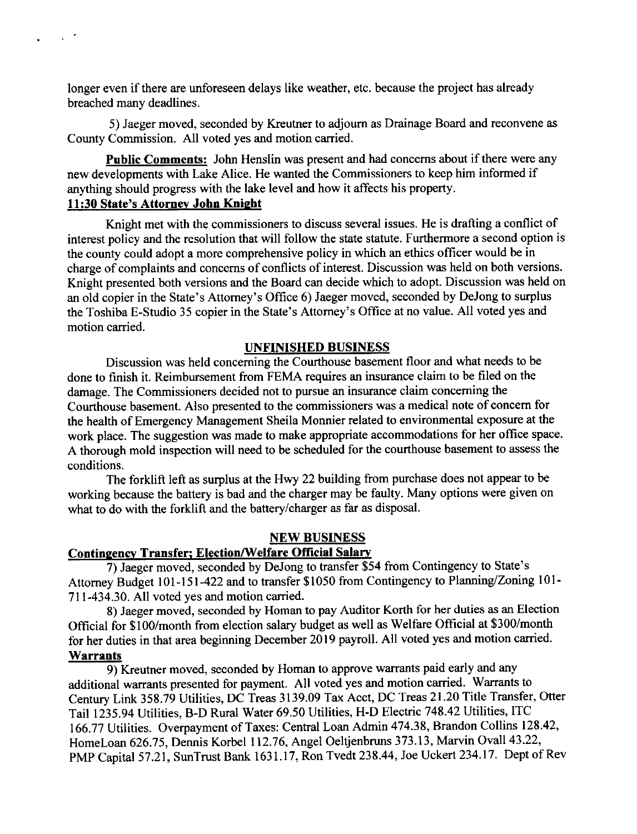longer even if there are unforeseen delays like weather, etc. because the project has already breached many deadlines.

 $\varphi_{\rm c} = \varphi_{\rm c}$  .

5) Jaeger moved, seconded by Kreutner to adjourn as Drainage Board and reconvene as County Commission. All voted yes and motion carried.

Public Comments: John Henslin was present and had concerns about if there were any new developments with Lake Alice. He wanted the Commissioners to keep him informed if anything should progress with the lake level and how it affects his property. 11:30 State's Attorney John Knight

Knight met with the commissioners to discuss several issues. He is drafting a conflict of interest policy and the resolution that will follow the state statute. Furthermore a second option is the county could adopt a more comprehensive policy in which an ethics officer would be in charge of complaints and concerns of conflicts of interest. Discussion was held on both versions. Knight presented both versions and the Board can decide which to adopt. Discussion was held on an old copier in the State's Attomey's Office 6) Jaeger moved, seconded by DeJong to surplus the Toshiba E-studio 35 copier in the State's Attomey's Office at no value. All voted yes and motion carried.

## UNFINISHED BUSINESS

Discussion was held conceming the Courthouse basement floor and what needs to be done to finish it. Reimbusement from FEMA requires an insurance claim to be filed on the damage. The Commissioners decided not to pursue an insurance claim conceming the Courthouse basement. Also presented to the commissioners was a medical note of concem for the health of Emergency Management Sheila Monnier related to environmental exposure at the work place. The suggestion was made to make appropriate accommodations for her office space. A thorough mold inspection will need to be scheduled for the courthouse basement to assess the conditions.

The forklift left as surplus at the Hwy 22 building from purchase does not appear to be working because the battery is bad and the charger may be faulty. Many options were given on what to do with the forklift and the battery/charger as far as disposal.

### NEW BUSINESS

# Contingency Transfer; Election/Welfare Official Salary

7) Jaeger moved, seconded by DeJong to transfer \$54 from Contingency to State's Attorney Budget 101-l5l -422 and to transfer \$1050 from Contingency to Planning/Zoning 101- 711-434.30. All voted yes and motion carried.

8) Jaeger moved, seconded by Homan to pay Auditor Korth for her duties as an Election Official for \$100/month from election salary budget as well as Welfare Official at \$300/month for her duties in that area beginning December  $2019$  payroll. All voted yes and motion carried. Warrants

9) Kreutner moved, seconded by Homan to approve warrants paid early and any additional warrants presented for payment. All voted yes and motion carried. Warrants to century Link 358.79 Utilities, DC Treas 3139.09 Tax Acct, DC Treas 21.20 Title Transfer, ofter Tail 1235.94 Utilities, B-D Rural Water 69.50 Utilities, H-D Electric 748.42 Utilities, ITC 166.77 Utilities. overpayment of Taxes: central Loan Admin 474.38, Brandon Collins 128.42, HomeLoan 626.75, Dennis Korbel 112.76, Angel Oeltjenbruns 373.13, Marvin Ovall 43.22, PMP Capital 57.21, SunTrust Bank 1631.17, Ron Tvedt 238.44, Joe Uckert 234.17. Dept of Rev